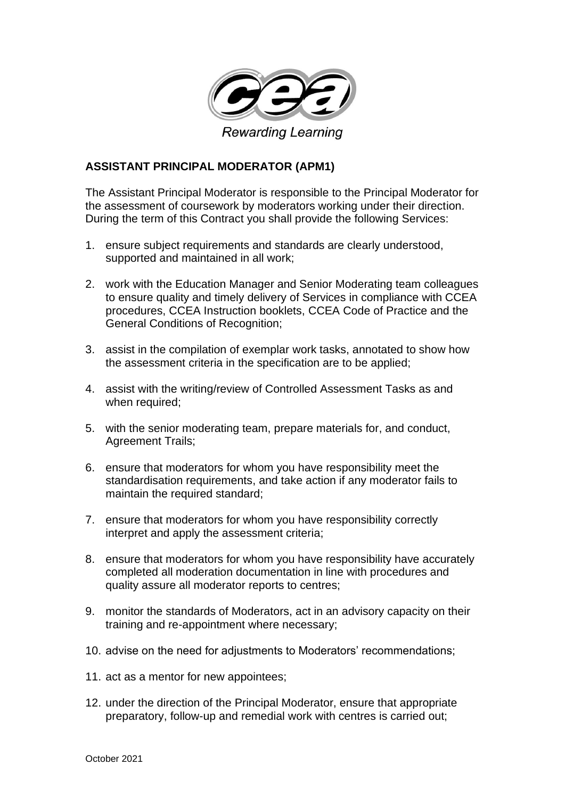

## **ASSISTANT PRINCIPAL MODERATOR (APM1)**

The Assistant Principal Moderator is responsible to the Principal Moderator for the assessment of coursework by moderators working under their direction. During the term of this Contract you shall provide the following Services:

- 1. ensure subject requirements and standards are clearly understood, supported and maintained in all work;
- 2. work with the Education Manager and Senior Moderating team colleagues to ensure quality and timely delivery of Services in compliance with CCEA procedures, CCEA Instruction booklets, CCEA Code of Practice and the General Conditions of Recognition;
- 3. assist in the compilation of exemplar work tasks, annotated to show how the assessment criteria in the specification are to be applied;
- 4. assist with the writing/review of Controlled Assessment Tasks as and when required;
- 5. with the senior moderating team, prepare materials for, and conduct, Agreement Trails;
- 6. ensure that moderators for whom you have responsibility meet the standardisation requirements, and take action if any moderator fails to maintain the required standard;
- 7. ensure that moderators for whom you have responsibility correctly interpret and apply the assessment criteria;
- 8. ensure that moderators for whom you have responsibility have accurately completed all moderation documentation in line with procedures and quality assure all moderator reports to centres;
- 9. monitor the standards of Moderators, act in an advisory capacity on their training and re-appointment where necessary;
- 10. advise on the need for adjustments to Moderators' recommendations;
- 11. act as a mentor for new appointees;
- 12. under the direction of the Principal Moderator, ensure that appropriate preparatory, follow-up and remedial work with centres is carried out;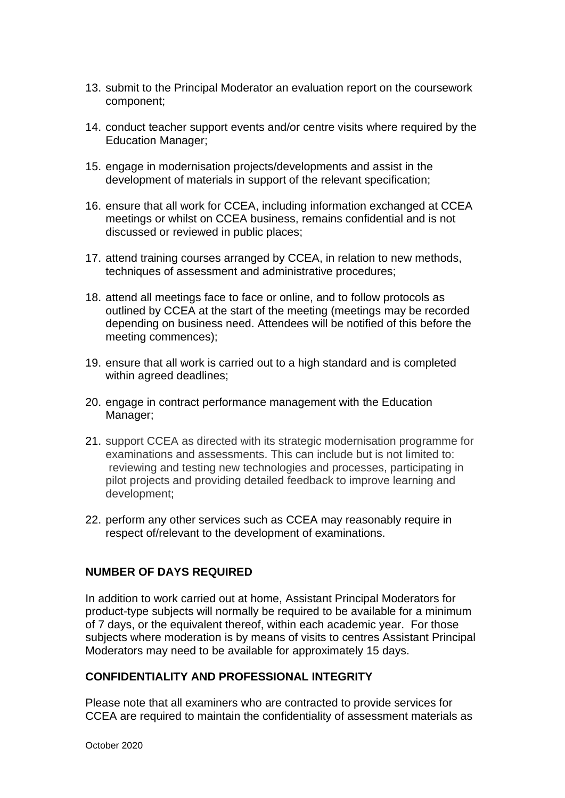- 13. submit to the Principal Moderator an evaluation report on the coursework component;
- 14. conduct teacher support events and/or centre visits where required by the Education Manager;
- 15. engage in modernisation projects/developments and assist in the development of materials in support of the relevant specification;
- 16. ensure that all work for CCEA, including information exchanged at CCEA meetings or whilst on CCEA business, remains confidential and is not discussed or reviewed in public places;
- 17. attend training courses arranged by CCEA, in relation to new methods, techniques of assessment and administrative procedures;
- 18. attend all meetings face to face or online, and to follow protocols as outlined by CCEA at the start of the meeting (meetings may be recorded depending on business need. Attendees will be notified of this before the meeting commences);
- 19. ensure that all work is carried out to a high standard and is completed within agreed deadlines;
- 20. engage in contract performance management with the Education Manager;
- 21. support CCEA as directed with its strategic modernisation programme for examinations and assessments. This can include but is not limited to: reviewing and testing new technologies and processes, participating in pilot projects and providing detailed feedback to improve learning and development;
- 22. perform any other services such as CCEA may reasonably require in respect of/relevant to the development of examinations.

## **NUMBER OF DAYS REQUIRED**

In addition to work carried out at home, Assistant Principal Moderators for product-type subjects will normally be required to be available for a minimum of 7 days, or the equivalent thereof, within each academic year. For those subjects where moderation is by means of visits to centres Assistant Principal Moderators may need to be available for approximately 15 days.

## **CONFIDENTIALITY AND PROFESSIONAL INTEGRITY**

Please note that all examiners who are contracted to provide services for CCEA are required to maintain the confidentiality of assessment materials as